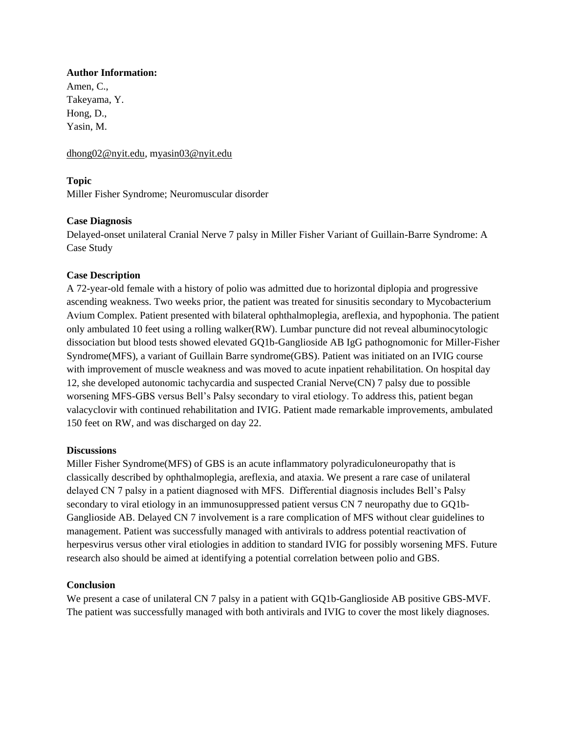## **Author Information:**

Amen, C., Takeyama, Y. Hong, D., Yasin, M.

[dhong02@nyit.edu,](mailto:dhong02@nyit.edu) [myasin03@nyit.edu](mailto:Myasin03@nyit.edu)

## **Topic**

Miller Fisher Syndrome; Neuromuscular disorder

## **Case Diagnosis**

Delayed-onset unilateral Cranial Nerve 7 palsy in Miller Fisher Variant of Guillain-Barre Syndrome: A Case Study

# **Case Description**

A 72-year-old female with a history of polio was admitted due to horizontal diplopia and progressive ascending weakness. Two weeks prior, the patient was treated for sinusitis secondary to Mycobacterium Avium Complex. Patient presented with bilateral ophthalmoplegia, areflexia, and hypophonia. The patient only ambulated 10 feet using a rolling walker(RW). Lumbar puncture did not reveal albuminocytologic dissociation but blood tests showed elevated GQ1b-Ganglioside AB IgG pathognomonic for Miller-Fisher Syndrome(MFS), a variant of Guillain Barre syndrome(GBS). Patient was initiated on an IVIG course with improvement of muscle weakness and was moved to acute inpatient rehabilitation. On hospital day 12, she developed autonomic tachycardia and suspected Cranial Nerve(CN) 7 palsy due to possible worsening MFS-GBS versus Bell's Palsy secondary to viral etiology. To address this, patient began valacyclovir with continued rehabilitation and IVIG. Patient made remarkable improvements, ambulated 150 feet on RW, and was discharged on day 22.

## **Discussions**

Miller Fisher Syndrome(MFS) of GBS is an acute inflammatory polyradiculoneuropathy that is classically described by ophthalmoplegia, areflexia, and ataxia. We present a rare case of unilateral delayed CN 7 palsy in a patient diagnosed with MFS. Differential diagnosis includes Bell's Palsy secondary to viral etiology in an immunosuppressed patient versus CN 7 neuropathy due to GQ1b-Ganglioside AB. Delayed CN 7 involvement is a rare complication of MFS without clear guidelines to management. Patient was successfully managed with antivirals to address potential reactivation of herpesvirus versus other viral etiologies in addition to standard IVIG for possibly worsening MFS. Future research also should be aimed at identifying a potential correlation between polio and GBS.

## **Conclusion**

We present a case of unilateral CN 7 palsy in a patient with GQ1b-Ganglioside AB positive GBS-MVF. The patient was successfully managed with both antivirals and IVIG to cover the most likely diagnoses.